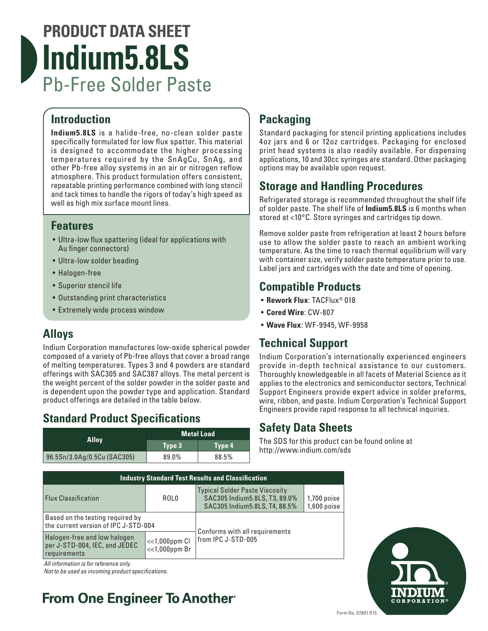# **PRODUCT DATA SHEET Indium5.8LS** Pb-Free Solder Paste

### **Introduction**

**Indium5.8LS** is a halide-free, no-clean solder paste specifically formulated for low flux spatter. This material is designed to accommodate the higher processing temperatures required by the SnAgCu, SnAg, and other Pb-free alloy systems in an air or nitrogen reflow atmosphere. This product formulation offers consistent, repeatable printing performance combined with long stencil and tack times to handle the rigors of today's high speed as well as high mix surface mount lines.

### **Features**

- Ultra-low flux spattering (ideal for applications with Au finger connectors)
- Ultra-low solder beading
- Halogen-free
- Superior stencil life
- Outstanding print characteristics
- Extremely wide process window

### **Alloys**

Indium Corporation manufactures low-oxide spherical powder composed of a variety of Pb-free alloys that cover a broad range of melting temperatures. Types 3 and 4 powders are standard offerings with SAC305 and SAC387 alloys. The metal percent is the weight percent of the solder powder in the solder paste and is dependent upon the powder type and application. Standard product offerings are detailed in the table below.

### **Standard Product Specifications**

|                             | <b>Metal Load</b> |        |  |
|-----------------------------|-------------------|--------|--|
| <b>Alloy</b>                | Type 3            | Type 4 |  |
| 96.5Sn/3.0Ag/0.5Cu (SAC305) | 89.0%             | 88.5%  |  |

## **Packaging**

Standard packaging for stencil printing applications includes 4oz jars and 6 or 12oz cartridges. Packaging for enclosed print head systems is also readily available. For dispensing applications, 10 and 30cc syringes are standard. Other packaging options may be available upon request.

### **Storage and Handling Procedures**

Refrigerated storage is recommended throughout the shelf life of solder paste. The shelf life of **Indium5.8LS** is 6 months when stored at <10°C. Store syringes and cartridges tip down.

Remove solder paste from refrigeration at least 2 hours before use to allow the solder paste to reach an ambient working temperature. As the time to reach thermal equilibrium will vary with container size, verify solder paste temperature prior to use. Label jars and cartridges with the date and time of opening.

### **Compatible Products**

- **Rework Flux**: TACFlux® 018
- **Cored Wire**: CW-807
- **Wave Flux**: WF-9945, WF-9958

### **Technical Support**

Indium Corporation's internationally experienced engineers provide in-depth technical assistance to our customers. Thoroughly knowledgeable in all facets of Material Science as it applies to the electronics and semiconductor sectors, Technical Support Engineers provide expert advice in solder preforms, wire, ribbon, and paste. Indium Corporation's Technical Support Engineers provide rapid response to all technical inquiries.

### **Safety Data Sheets**

The SDS for this product can be found online at http://www.indium.com/sds

| <b>Industry Standard Test Results and Classification</b>                      |                                        |                                                                                                           |                                |  |  |
|-------------------------------------------------------------------------------|----------------------------------------|-----------------------------------------------------------------------------------------------------------|--------------------------------|--|--|
| <b>Flux Classification</b>                                                    | ROL <sub>0</sub>                       | <b>Typical Solder Paste Viscosity</b><br>SAC305 Indium 5.8LS, T3, 89.0%<br>SAC305 Indium 5.8LS, T4, 88.5% | $1,700$ poise<br>$1,600$ poise |  |  |
| Based on the testing required by<br>the current version of IPC J-STD-004      |                                        |                                                                                                           |                                |  |  |
| Halogen-free and low halogen<br>per J-STD-004, IEC, and JEDEC<br>requirements | $<<1,000$ ppm $Cl$<br>$<<1,000$ ppm Br | Conforms with all requirements<br>from IPC J-STD-005                                                      |                                |  |  |

*All information is for reference only.*

*Not to be used as incoming product specifications.*

# **From One Engineer To Another**®